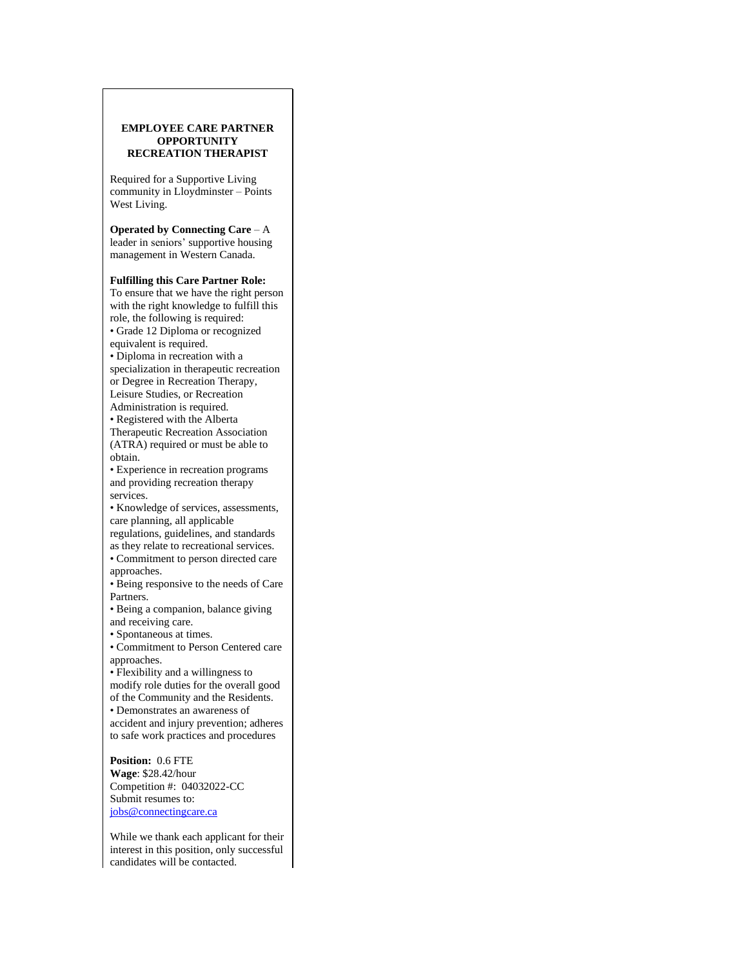## **EMPLOYEE CARE PARTNER OPPORTUNITY RECREATION THERAPIST**

Required for a Supportive Living community in Lloydminster – Points West Living.

**Operated by Connecting Care** – A leader in seniors' supportive housing management in Western Canada.

## **Fulfilling this Care Partner Role:**

To ensure that we have the right person with the right knowledge to fulfill this role, the following is required: • Grade 12 Diploma or recognized

equivalent is required.

• Diploma in recreation with a specialization in therapeutic recreation or Degree in Recreation Therapy, Leisure Studies, or Recreation Administration is required.

• Registered with the Alberta

Therapeutic Recreation Association (ATRA) required or must be able to obtain.

• Experience in recreation programs and providing recreation therapy services.

• Knowledge of services, assessments, care planning, all applicable

regulations, guidelines, and standards as they relate to recreational services. • Commitment to person directed care

approaches. • Being responsive to the needs of Care

Partners.

• Being a companion, balance giving and receiving care.

• Spontaneous at times.

• Commitment to Person Centered care approaches.

• Flexibility and a willingness to modify role duties for the overall good of the Community and the Residents.

• Demonstrates an awareness of

accident and injury prevention; adheres to safe work practices and procedures

**Position:** 0.6 FTE **Wage**: \$28.42/hour Competition #: 04032022-CC Submit resumes to: [jobs@connectingcare.ca](mailto:jobs@connectingcare.ca)

While we thank each applicant for their interest in this position, only successful candidates will be contacted.